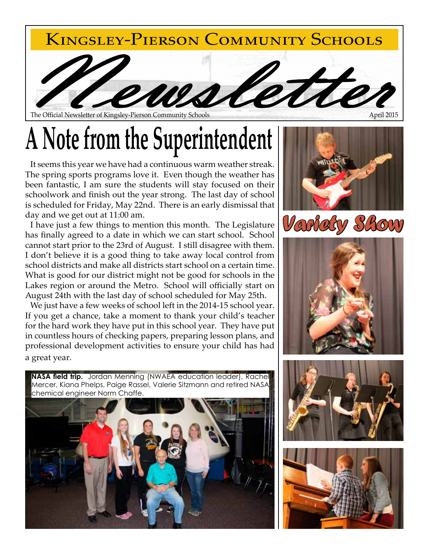

The Official Newsletter of Kingsley-Pierson Community Schools

## **A Note from the Superintendent**

It seems this year we have had a continuous warm weather streak. The spring sports programs love it. Even though the weather has been fantastic, I am sure the students will stay focused on their schoolwork and finish out the year strong. The last day of school is scheduled for Friday, May 22nd. There is an early dismissal that day and we get out at 11:00 am.

I have just a few things to mention this month. The Legislature has finally agreed to a date in which we can start school. School cannot start prior to the 23rd of August. I still disagree with them. I don't believe it is a good thing to take away local control from school districts and make all districts start school on a certain time. What is good for our district might not be good for schools in the Lakes region or around the Metro. School will officially start on August 24th with the last day of school scheduled for May 25th.

We just have a few weeks of school left in the 2014-15 school year. If you get a chance, take a moment to thank your child's teacher for the hard work they have put in this school year. They have put in countless hours of checking papers, preparing lesson plans, and professional development activities to ensure your child has had a great year.

**NASA field trip.** Jordan Menning (NWAEA education leader), Rachel Mercer, Kiana Phelps, Paige Rassel, Valerie Sitzmann and retired NASA chemical engineer Norm Chaffe.









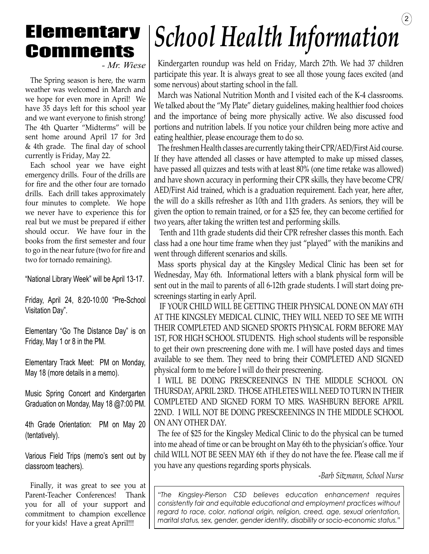### **Elementary Comments**

*- Mr. Wiese*

The Spring season is here, the warm weather was welcomed in March and we hope for even more in April! We have 35 days left for this school year and we want everyone to finish strong! The 4th Quarter "Midterms" will be sent home around April 17 for 3rd & 4th grade. The final day of school currently is Friday, May 22.

Each school year we have eight emergency drills. Four of the drills are for fire and the other four are tornado drills. Each drill takes approximately four minutes to complete. We hope we never have to experience this for real but we must be prepared if either should occur. We have four in the books from the first semester and four to go in the near future (two for fire and two for tornado remaining).

"National Library Week" will be April 13-17.

Friday, April 24, 8:20-10:00 "Pre-School Visitation Day".

Elementary "Go The Distance Day" is on Friday, May 1 or 8 in the PM.

Elementary Track Meet: PM on Monday, May 18 (more details in a memo).

Music Spring Concert and Kindergarten Graduation on Monday, May 18 @7:00 PM.

4th Grade Orientation: PM on May 20 (tentatively).

Various Field Trips (memo's sent out by classroom teachers).

Finally, it was great to see you at Parent-Teacher Conferences! Thank you for all of your support and commitment to champion excellence for your kids! Have a great April!!!

## $\left( 2\right)$ *School Health Information*

Kindergarten roundup was held on Friday, March 27th. We had 37 children participate this year. It is always great to see all those young faces excited (and some nervous) about starting school in the fall.

March was National Nutrition Month and I visited each of the K-4 classrooms. We talked about the "My Plate" dietary guidelines, making healthier food choices and the importance of being more physically active. We also discussed food portions and nutrition labels. If you notice your children being more active and eating healthier, please encourage them to do so.

The freshmen Health classes are currently taking their CPR/AED/First Aid course. If they have attended all classes or have attempted to make up missed classes, have passed all quizzes and tests with at least 80% (one time retake was allowed) and have shown accuracy in performing their CPR skills, they have become CPR/ AED/First Aid trained, which is a graduation requirement. Each year, here after, the will do a skills refresher as 10th and 11th graders. As seniors, they will be given the option to remain trained, or for a \$25 fee, they can become certified for two years, after taking the written test and performing skills.

 Tenth and 11th grade students did their CPR refresher classes this month. Each class had a one hour time frame when they just "played" with the manikins and went through different scenarios and skills.

Mass sports physical day at the Kingsley Medical Clinic has been set for Wednesday, May 6th. Informational letters with a blank physical form will be sent out in the mail to parents of all 6-12th grade students. I will start doing prescreenings starting in early April.

 IF YOUR CHILD WILL BE GETTING THEIR PHYSICAL DONE ON MAY 6TH AT THE KINGSLEY MEDICAL CLINIC, THEY WILL NEED TO SEE ME WITH THEIR COMPLETED AND SIGNED SPORTS PHYSICAL FORM BEFORE MAY 1ST, FOR HIGH SCHOOL STUDENTS. High school students will be responsible to get their own prescreening done with me. I will have posted days and times available to see them. They need to bring their COMPLETED AND SIGNED physical form to me before I will do their prescreening.

I WILL BE DOING PRESCREENINGS IN THE MIDDLE SCHOOL ON THURSDAY, APRIL 23RD. THOSE ATHLETES WILL NEED TO TURN IN THEIR COMPLETED AND SIGNED FORM TO MRS. WASHBURN BEFORE APRIL 22ND. I WILL NOT BE DOING PRESCREENINGS IN THE MIDDLE SCHOOL ON ANY OTHER DAY.

The fee of \$25 for the Kingsley Medical Clinic to do the physical can be turned into me ahead of time or can be brought on May 6th to the physician's office. Your child WILL NOT BE SEEN MAY 6th if they do not have the fee. Please call me if you have any questions regarding sports physicals.

-*Barb Sitzmann, School Nurse*

*"The Kingsley-Pierson CSD believes education enhancement requires consistently fair and equitable educational and employment practices without regard to race, color, national origin, religion, creed, age, sexual orientation, marital status, sex, gender, gender identity, disability or socio-economic status."*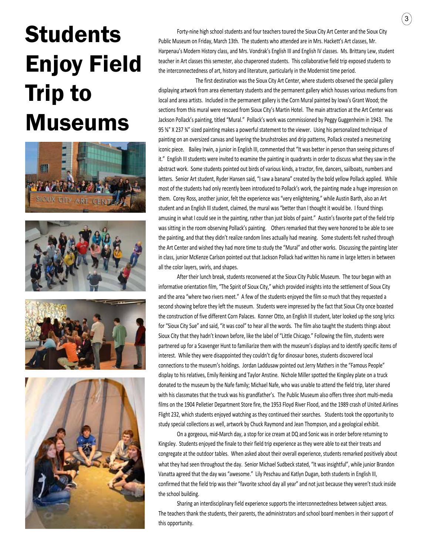## **Students** Enjoy Field Trip to Museums









Forty-nine high school students and four teachers toured the Sioux City Art Center and the Sioux City Public Museum on Friday, March 13th. The students who attended are in Mrs. Hackett's Art classes, Mr. Harpenau's Modern History class, and Mrs. Vondrak's English III and English IV classes. Ms. Brittany Lew, student teacher in Art classes this semester, also chaperoned students. This collaborative field trip exposed students to the interconnectedness of art, history and literature, particularly in the Modernist time period.

The first destination was the Sioux City Art Center, where students observed the special gallery displaying artwork from area elementary students and the permanent gallery which houses various mediums from local and area artists. Included in the permanent gallery is the Corn Mural painted by Iowa's Grant Wood; the sections from this mural were rescued from Sioux City's Martin Hotel. The main attraction at the Art Center was Jackson Pollack's painting, titled "Mural." Pollack's work was commissioned by Peggy Guggenheim in 1943. The 95 ⅝" X 237 ¾" sized painting makes a powerful statement to the viewer. Using his personalized technique of painting on an oversized canvas and layering the brushstrokes and drip patterns, Pollack created a mesmerizing iconic piece. Bailey Irwin, a junior in English III, commented that "It was better in person than seeing pictures of it." English III students were invited to examine the painting in quadrants in order to discuss what they saw in the abstract work. Some students pointed out birds of various kinds, a tractor, fire, dancers, sailboats, numbers and letters. Senior Art student, Ryder Hansen said, "I saw a banana" created by the bold yellow Pollack applied. While most of the students had only recently been introduced to Pollack's work, the painting made a huge impression on them. Corey Ross, another junior, felt the experience was "very enlightening," while Austin Barth, also an Art student and an English III student, claimed, the mural was "better than I thought it would be. I found things amusing in what I could see in the painting, rather than just blobs of paint." Austin's favorite part of the field trip was sitting in the room observing Pollack's painting. Others remarked that they were honored to be able to see the painting, and that they didn't realize random lines actually had meaning. Some students felt rushed through the Art Center and wished they had more time to study the "Mural" and other works. Discussing the painting later in class, junior McKenze Carlson pointed out that Jackson Pollack had written his name in large letters in between all the color layers, swirls, and shapes.

After their lunch break, students reconvened at the Sioux City Public Museum. The tour began with an informative orientation film, "The Spirit of Sioux City," which provided insights into the settlement of Sioux City and the area "where two rivers meet." A few of the students enjoyed the film so much that they requested a second showing before they left the museum. Students were impressed by the fact that Sioux City once boasted the construction of five different Corn Palaces. Konner Otto, an English III student, later looked up the song lyrics for "Sioux City Sue" and said, "it was cool" to hear all the words. The film also taught the students things about Sioux City that they hadn't known before, like the label of "Little Chicago." Following the film, students were partnered up for a Scavenger Hunt to familiarize them with the museum's displays and to identify specific items of interest. While they were disappointed they couldn't dig for dinosaur bones, students discovered local connections to the museum's holdings. Jordan Laddusaw pointed out Jerry Mathers in the "Famous People" display to his relatives, Emily Reinking and Taylor Anstine. Nichole Miller spotted the Kingsley plate on a truck donated to the museum by the Nafe family; Michael Nafe, who was unable to attend the field trip, later shared with his classmates that the truck was his grandfather's. The Public Museum also offers three short multi-media films on the 1904 Pelletier Department Store fire, the 1953 Floyd River Flood, and the 1989 crash of United Airlines Flight 232, which students enjoyed watching as they continued their searches. Students took the opportunity to study special collections as well, artwork by Chuck Raymond and Jean Thompson, and a geological exhibit.

On a gorgeous, mid-March day, a stop for ice cream at DQ and Sonic was in order before returning to Kingsley. Students enjoyed the finale to their field trip experience as they were able to eat their treats and congregate at the outdoor tables. When asked about their overall experience, students remarked positively about what they had seen throughout the day. Senior Michael Sudbeck stated, "It was insightful", while junior Brandon Vanatta agreed that the day was "awesome." Lily Peschau and Katlyn Dugan, both students in English III, confirmed that the field trip was their "favorite school day all year" and not just because they weren't stuck inside the school building.

Sharing an interdisciplinary field experience supports the interconnectedness between subject areas. The teachers thank the students, their parents, the administrators and school board members in their support of this opportunity.

 $\Large{(3)}$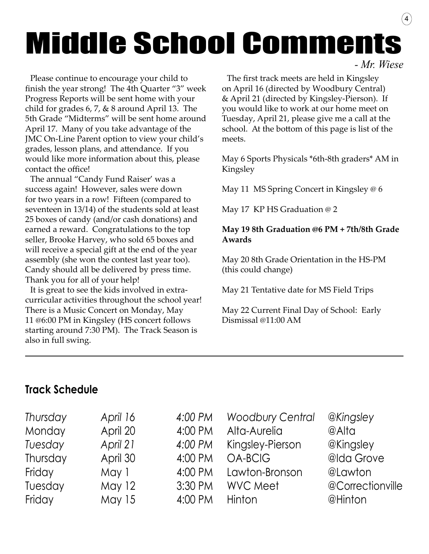## Middle School Comments *- Mr. Wiese*

Please continue to encourage your child to finish the year strong! The 4th Quarter "3" week Progress Reports will be sent home with your child for grades 6, 7, & 8 around April 13. The 5th Grade "Midterms" will be sent home around April 17. Many of you take advantage of the JMC On-Line Parent option to view your child's grades, lesson plans, and attendance. If you would like more information about this, please contact the office!

The annual "Candy Fund Raiser' was a success again! However, sales were down for two years in a row! Fifteen (compared to seventeen in 13/14) of the students sold at least 25 boxes of candy (and/or cash donations) and earned a reward. Congratulations to the top seller, Brooke Harvey, who sold 65 boxes and will receive a special gift at the end of the year assembly (she won the contest last year too). Candy should all be delivered by press time. Thank you for all of your help!

It is great to see the kids involved in extracurricular activities throughout the school year! There is a Music Concert on Monday, May 11 @6:00 PM in Kingsley (HS concert follows starting around 7:30 PM). The Track Season is also in full swing.

The first track meets are held in Kingsley on April 16 (directed by Woodbury Central) & April 21 (directed by Kingsley-Pierson). If you would like to work at our home meet on Tuesday, April 21, please give me a call at the school. At the bottom of this page is list of the meets.

 $\left( 4\right)$ 

May 6 Sports Physicals \*6th-8th graders\* AM in Kingsley

May 11 MS Spring Concert in Kingsley @ 6

May 17 KP HS Graduation @ 2

### **May 19 8th Graduation @6 PM + 7th/8th Grade Awards**

May 20 8th Grade Orientation in the HS-PM (this could change)

May 21 Tentative date for MS Field Trips

May 22 Current Final Day of School: Early Dismissal @11:00 AM

### **Track Schedule**

| Thursday | April 16      | 4:00 PM | <b>Woodbury Central</b> | @Kingsley        |
|----------|---------------|---------|-------------------------|------------------|
| Monday   | April 20      | 4:00 PM | Alta-Aurelia            | @Alta            |
| Tuesday  | April 21      | 4:00 PM | Kingsley-Pierson        | @Kingsley        |
| Thursday | April 30      | 4:00 PM | <b>OA-BCIG</b>          | @Ida Grove       |
| Friday   | May 1         | 4:00 PM | Lawton-Bronson          | @Lawton          |
| Tuesday  | <b>May 12</b> | 3:30 PM | <b>WVC Meet</b>         | @Correctionville |
| Friday   | <b>May 15</b> | 4:00 PM | Hinton                  | @Hinton          |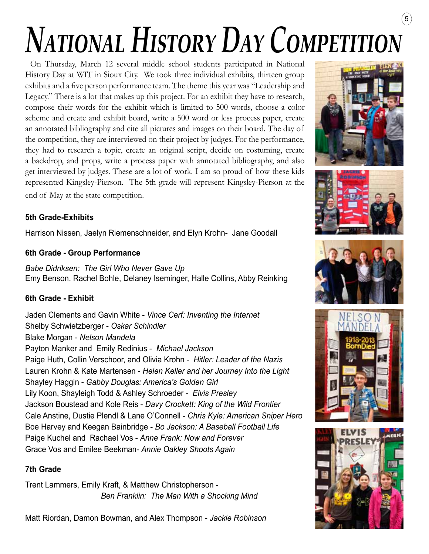## $\binom{5}{ }$ *National History Day Competition*

On Thursday, March 12 several middle school students participated in National History Day at WIT in Sioux City. We took three individual exhibits, thirteen group exhibits and a five person performance team. The theme this year was "Leadership and Legacy." There is a lot that makes up this project. For an exhibit they have to research, compose their words for the exhibit which is limited to 500 words, choose a color scheme and create and exhibit board, write a 500 word or less process paper, create an annotated bibliography and cite all pictures and images on their board. The day of the competition, they are interviewed on their project by judges. For the performance, they had to research a topic, create an original script, decide on costuming, create a backdrop, and props, write a process paper with annotated bibliography, and also get interviewed by judges. These are a lot of work. I am so proud of how these kids represented Kingsley-Pierson. The 5th grade will represent Kingsley-Pierson at the end of May at the state competition.

### **5th Grade-Exhibits**

Harrison Nissen, Jaelyn Riemenschneider, and Elyn Krohn- Jane Goodall

### **6th Grade - Group Performance**

*Babe Didriksen: The Girl Who Never Gave Up* Emy Benson, Rachel Bohle, Delaney Iseminger, Halle Collins, Abby Reinking

### **6th Grade - Exhibit**

Jaden Clements and Gavin White - *Vince Cerf: Inventing the Internet* Shelby Schwietzberger - *Oskar Schindler* Blake Morgan - *Nelson Mandela* Payton Manker and Emily Redinius - *Michael Jackson* Paige Huth, Collin Verschoor, and Olivia Krohn - *Hitler: Leader of the Nazis* Lauren Krohn & Kate Martensen - *Helen Keller and her Journey Into the Light* Shayley Haggin - *Gabby Douglas: America's Golden Girl* Lily Koon, Shayleigh Todd & Ashley Schroeder - *Elvis Presley* Jackson Boustead and Kole Reis - *Davy Crockett: King of the Wild Frontier* Cale Anstine, Dustie Plendl & Lane O'Connell - *Chris Kyle: American Sniper Hero* Boe Harvey and Keegan Bainbridge - *Bo Jackson: A Baseball Football Life* Paige Kuchel and Rachael Vos - *Anne Frank: Now and Forever*  Grace Vos and Emilee Beekman- *Annie Oakley Shoots Again*

### **7th Grade**

Trent Lammers, Emily Kraft, & Matthew Christopherson - *Ben Franklin: The Man With a Shocking Mind*

Matt Riordan, Damon Bowman, and Alex Thompson - *Jackie Robinson*









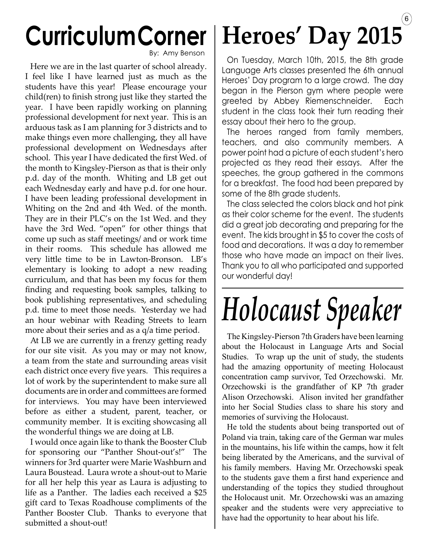## **Curriculum Corner**

By: Amy Benson

Here we are in the last quarter of school already. I feel like I have learned just as much as the students have this year! Please encourage your child(ren) to finish strong just like they started the year. I have been rapidly working on planning professional development for next year. This is an arduous task as I am planning for 3 districts and to make things even more challenging, they all have professional development on Wednesdays after school. This year I have dedicated the first Wed. of the month to Kingsley-Pierson as that is their only p.d. day of the month. Whiting and LB get out each Wednesday early and have p.d. for one hour. I have been leading professional development in Whiting on the 2nd and 4th Wed. of the month. They are in their PLC's on the 1st Wed. and they have the 3rd Wed. "open" for other things that come up such as staff meetings/ and or work time in their rooms. This schedule has allowed me very little time to be in Lawton-Bronson. LB's elementary is looking to adopt a new reading curriculum, and that has been my focus for them finding and requesting book samples, talking to book publishing representatives, and scheduling p.d. time to meet those needs. Yesterday we had an hour webinar with Reading Streets to learn more about their series and as a q/a time period.

At LB we are currently in a frenzy getting ready for our site visit. As you may or may not know, a team from the state and surrounding areas visit each district once every five years. This requires a lot of work by the superintendent to make sure all documents are in order and committees are formed for interviews. You may have been interviewed before as either a student, parent, teacher, or community member. It is exciting showcasing all the wonderful things we are doing at LB.

I would once again like to thank the Booster Club for sponsoring our "Panther Shout-out's!" The winners for 3rd quarter were Marie Washburn and Laura Boustead. Laura wrote a shout-out to Marie for all her help this year as Laura is adjusting to life as a Panther. The ladies each received a \$25 gift card to Texas Roadhouse compliments of the Panther Booster Club. Thanks to everyone that submitted a shout-out!

### $(6)$ **Heroes' Day 2015**

On Tuesday, March 10th, 2015, the 8th grade Language Arts classes presented the 6th annual Heroes' Day program to a large crowd. The day began in the Pierson gym where people were greeted by Abbey Riemenschneider. Each student in the class took their turn reading their essay about their hero to the group.

The heroes ranged from family members, teachers, and also community members. A power point had a picture of each student's hero projected as they read their essays. After the speeches, the group gathered in the commons for a breakfast. The food had been prepared by some of the 8th grade students.

The class selected the colors black and hot pink as their color scheme for the event. The students did a great job decorating and preparing for the event. The kids brought in \$5 to cover the costs of food and decorations. It was a day to remember those who have made an impact on their lives. Thank you to all who participated and supported our wonderful day!

# *Holocaust Speaker*

The Kingsley-Pierson 7th Graders have been learning about the Holocaust in Language Arts and Social Studies. To wrap up the unit of study, the students had the amazing opportunity of meeting Holocaust concentration camp survivor, Ted Orzechowski. Mr. Orzechowski is the grandfather of KP 7th grader Alison Orzechowski. Alison invited her grandfather into her Social Studies class to share his story and memories of surviving the Holocaust.

He told the students about being transported out of Poland via train, taking care of the German war mules in the mountains, his life within the camps, how it felt being liberated by the Americans, and the survival of his family members. Having Mr. Orzechowski speak to the students gave them a first hand experience and understanding of the topics they studied throughout the Holocaust unit. Mr. Orzechowski was an amazing speaker and the students were very appreciative to have had the opportunity to hear about his life.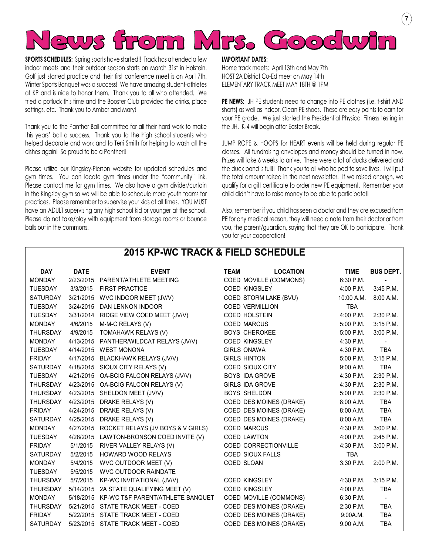

**SPORTS SCHEDULES:** Spring sports have started!! Track has attended a few indoor meets and their outdoor season starts on March 31st in Holstein. Golf just started practice and their first conference meet is on April 7th. Winter Sports Banquet was a success! We have amazing student-athletes at KP and is nice to honor them. Thank you to all who attended. We tried a potluck this time and the Booster Club provided the drinks, place settings, etc. Thank you to Amber and Mary!

Thank you to the Panther Ball committee for all their hard work to make this years' ball a success. Thank you to the high school students who helped decorate and work and to Terri Smith for helping to wash all the dishes again! So proud to be a Panther!!

Please utilize our Kingsley-Pierson website for updated schedules and gym times. You can locate gym times under the "community" link. Please contact me for gym times. We also have a gym divider/curtain in the Kingsley gym so we will be able to schedule more youth teams for practices. Please remember to supervise your kids at all times. YOU MUST have an ADULT supervising any high school kid or younger at the school. Please do not take/play with equipment from storage rooms or bounce balls out in the commons.

#### **IMPORTANT DATES:**

Home track meets: April 13th and May 7th HOST 2A District Co-Ed meet on May 14th ELEMENTARY TRACK MEET MAY 18TH @ 1PM

PE NEWS: JH PE students need to change into PE clothes (i.e. t-shirt AND shorts) as well as indoor. Clean PE shoes. These are easy points to earn for your PE grade. We just started the Presidential Physical Fitness testing in the JH. K-4 will begin after Easter Break.

7

JUMP ROPE & HOOPS for HEART events will be held during regular PE classes. All fundraising envelopes and money should be turned in now. Prizes will take 6 weeks to arrive. There were a lot of ducks delivered and the duck pond is full!! Thank you to all who helped to save lives. I will put the total amount raised in the next newsletter. If we raised enough, we qualify for a gift certificate to order new PE equipment. Remember your child didn't have to raise money to be able to participate!!

Also, remember if you child has seen a doctor and they are excused from PE for any medical reason, they will need a note from their doctor or from you, the parent/guardian, saying that they are OK to participate. Thank you for your cooperation!

| <b>DAY</b>      | <b>DATE</b> | <b>EVENT</b>                               | <b>TEAM</b> | <b>LOCATION</b>             | <b>TIME</b> | <b>BUS DEPT.</b> |
|-----------------|-------------|--------------------------------------------|-------------|-----------------------------|-------------|------------------|
| <b>MONDAY</b>   | 2/23/2015   | PARENT/ATHLETE MEETING                     |             | COED MOVILLE (COMMONS)      | 6:30 P.M.   | $\blacksquare$   |
| <b>TUESDAY</b>  | 3/3/2015    | <b>FIRST PRACTICE</b>                      |             | <b>COED KINGSLEY</b>        | 4:00 P.M.   | 3:45 P.M.        |
| <b>SATURDAY</b> | 3/21/2015   | WVC INDOOR MEET (JV/V)                     |             | COED STORM LAKE (BVU)       | 10:00 A.M.  | 8:00 A.M.        |
| <b>TUESDAY</b>  | 3/24/2015   | DAN LENNON INDOOR                          |             | <b>COED VERMILLION</b>      | <b>TBA</b>  |                  |
| <b>TUESDAY</b>  | 3/31/2014   | RIDGE VIEW COED MEET (JV/V)                |             | <b>COED HOLSTEIN</b>        | 4:00 P.M.   | 2:30 P.M.        |
| <b>MONDAY</b>   | 4/6/2015    | M-M-C RELAYS (V)                           |             | <b>COED MARCUS</b>          | 5:00 P.M.   | $3:15$ P.M.      |
| <b>THURSDAY</b> | 4/9/2015    | TOMAHAWK RELAYS (V)                        |             | <b>BOYS CHEROKEE</b>        | 5:00 P.M.   | $3:00$ P.M.      |
| <b>MONDAY</b>   |             | 4/13/2015 PANTHER/WILDCAT RELAYS (JV/V)    |             | <b>COED KINGSLEY</b>        | 4:30 P.M.   |                  |
| <b>TUESDAY</b>  | 4/14/2015   | <b>WEST MONONA</b>                         |             | <b>GIRLS ONAWA</b>          | 4:30 P.M.   | <b>TBA</b>       |
| <b>FRIDAY</b>   |             | 4/17/2015 BLACKHAWK RELAYS (JV/V)          |             | <b>GIRLS HINTON</b>         | $5:00$ P.M. | $3:15$ P.M.      |
| <b>SATURDAY</b> |             | 4/18/2015 SIOUX CITY RELAYS (V)            |             | <b>COED SIOUX CITY</b>      | 9:00 A.M.   | <b>TBA</b>       |
| TUESDAY         |             | 4/21/2015 OA-BCIG FALCON RELAYS (JV/V)     |             | <b>BOYS IDA GROVE</b>       | 4:30 P.M.   | 2:30 P.M.        |
| <b>THURSDAY</b> |             | 4/23/2015 OA-BCIG FALCON RELAYS (V)        |             | <b>GIRLS IDA GROVE</b>      | 4:30 P.M.   | 2:30 P.M.        |
| <b>THURSDAY</b> | 4/23/2015   | SHELDON MEET (JV/V)                        |             | <b>BOYS SHELDON</b>         | 5:00 P.M.   | 2:30 P.M.        |
| <b>THURSDAY</b> | 4/23/2015   | DRAKE RELAYS (V)                           |             | COED DES MOINES (DRAKE)     | 8:00 A.M.   | <b>TBA</b>       |
| <b>FRIDAY</b>   | 4/24/2015   | DRAKE RELAYS (V)                           |             | COED DES MOINES (DRAKE)     | 8:00 A.M.   | <b>TBA</b>       |
| SATURDAY        | 4/25/2015   | DRAKE RELAYS (V)                           |             | COED DES MOINES (DRAKE)     | 8:00 A.M.   | <b>TBA</b>       |
| <b>MONDAY</b>   | 4/27/2015   | ROCKET RELAYS (JV BOYS & V GIRLS)          |             | <b>COED MARCUS</b>          | $4:30$ P.M. | $3:00$ P.M.      |
| <b>TUESDAY</b>  | 4/28/2015   | LAWTON-BRONSON COED INVITE (V)             |             | <b>COED LAWTON</b>          | 4:00 P.M.   | 2:45 P.M.        |
| <b>FRIDAY</b>   | 5/1/2015    | RIVER VALLEY RELAYS (V)                    |             | <b>COED CORRECTIONVILLE</b> | 4:30 P.M.   | $3:00$ P.M.      |
| SATURDAY        | 5/2/2015    | <b>HOWARD WOOD RELAYS</b>                  |             | <b>COED SIOUX FALLS</b>     | <b>TBA</b>  |                  |
| <b>MONDAY</b>   | 5/4/2015    | WVC OUTDOOR MEET (V)                       |             | COED SLOAN                  | 3:30 P.M.   | 2:00 P.M.        |
| <b>TUESDAY</b>  | 5/5/2015    | <b>WVC OUTDOOR RAINDATE</b>                |             |                             |             |                  |
| <b>THURSDAY</b> | 5/7/2015    | KP-WC INVITATIONAL (JV/V)                  |             | <b>COED KINGSLEY</b>        | 4:30 P.M.   | $3:15$ P.M.      |
| <b>THURSDAY</b> | 5/14/2015   | 2A STATE QUALIFYING MEET (V)               |             | <b>COED KINGSLEY</b>        | $4:00$ P.M. | <b>TBA</b>       |
| <b>MONDAY</b>   |             | 5/18/2015 KP-WC T&F PARENT/ATHLETE BANQUET |             | COED MOVILLE (COMMONS)      | 6:30 P.M.   | $\blacksquare$   |
| <b>THURSDAY</b> | 5/21/2015   | STATE TRACK MEET - COED                    |             | COED DES MOINES (DRAKE)     | 2:30 P.M.   | <b>TBA</b>       |
| <b>FRIDAY</b>   | 5/22/2015   | STATE TRACK MEET - COED                    |             | COED DES MOINES (DRAKE)     | 9:00A.M.    | <b>TBA</b>       |
| SATURDAY        |             | 5/23/2015 STATE TRACK MEET - COED          |             | COED DES MOINES (DRAKE)     | 9:00 A.M.   | <b>TBA</b>       |

**2015 KP-WC TRACK & FIELD SCHEDULE**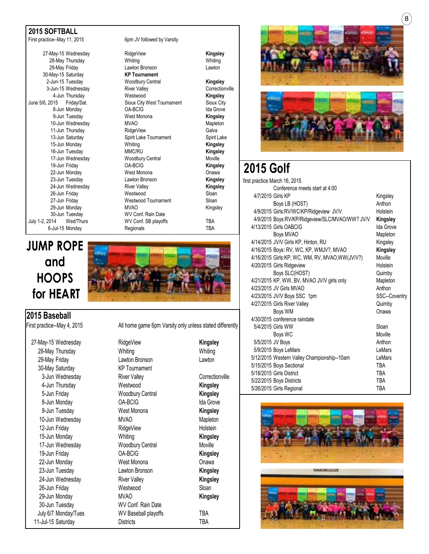#### **2015 SOFTBALL**

27-May-15 Wednesday RidgeView **Kingsley** 30-May-15 Saturday **KP Tournament** 4-Jun Thursday **Kingsley** Westwood **Kingsley Kingsley**<br>June 5/6, 2015 Fridav/Sat. Sioux City West Tournament Sioux City 10-Jun Wednesday MVAO<br>11-Jun Thursday MidgeView 22-Jun Monday 30-Jun Tuesday WV Conf. Rain Date July 1-2, 2014 Wed/Thurs WV Conf. SB playoffs TBA

### **JUMP ROPE and HOOPS for HEART**

**2015 Baseball**

30-May Saturday KP Tournament

First practice--May 11, 2015 6pm JV followed by Varsity

28-May Thursday Whiting Whiting 29-May Friday Lawton Bronson Lawton 2-Jun-15 Tuesday Woodbury Central **Kingsley** 3-Jun-15 Wednesday **River Valley** River Valley **River Valley** Correctionville Sioux City West Tournament<br>OA-BCIG 8-Jun Monday **OA-BCIG IDA-BCIG IDA-BCIG IDA-BCIG** 9-Jun Tuesday West Monona **Kingsley** 11-Jun Thursday RidgeView Galva Spirit Lake Tournament Spirit Lake 15-Jun Monday Whiting **Kingsley** 16-Jun Tuesday **MMC/RU Kingsley Kingsley**<br>17-Jun Wednesday **Moodbury Central** Moville 17-Jun Wednesday **Moodbury Central** Moville<br>19-Jun Friday **Moodbury COA-BCIG** Manus COA-BCIG 19-Jun Friday OA-BCIG **Kingsley** 23-Jun Tuesday Lawton Bronson **Kingsley** 24-Jun Wednesday River Valley **Kingsley** 26-Jun Friday 1980 (2011)<br>27-Jun Friday 1980 (27-Jun Friday 1980) (27-Jun Friday 1980) (28-Jun Mestwood Tournament Westwood Tournament<br>MVAO 29-Jun Monday **MVAO** MVAO Kingsley 6-Jul-15 Monday Regionals TBA





First practice--May 4, 2015 All home game 6pm Varsity only unless stated differently

27-May-15 Wednesday RidgeView **Kingsley** 28-May Thursday **Whiting Whiting** Whiting Whiting 29-May Friday Lawton Bronson Lawton 3-Jun Wednesday **River Valley** River Valley **Confectionville** 4-Jun Thursday Westwood **Kingsley** 5-Jun Friday Woodbury Central **Kingsley** 8-Jun Monday **CA-BCIG CA-BCIG Ida Grove** 9-Jun Tuesday West Monona **Kingsley** 10-Jun Wednesday MVAO Mapleton 12-Jun Friday **RidgeView** RidgeView **Holstein** 15-Jun Monday Whiting **Kingsley** 17-Jun Wednesday Woodbury Central Moville 19-Jun Friday OA-BCIG **Kingsley** 22-Jun Monday West Monona Onawa 23-Jun Tuesday Lawton Bronson **Kingsley** 24-Jun Wednesday River Valley **Kingsley** 26-Jun Friday Westwood Sloan 29-Jun Monday MVAO **Kingsley** 30-Jun Tuesday WV Conf. Rain Date July 6/7 Monday/Tues WV Baseball playoffs TBA 11-Jul-15 Saturday **Districts Districts** TBA





### **2015 Golf**

| first practice March 16, 2015                   |               |
|-------------------------------------------------|---------------|
| Conference meets start at 4:00                  |               |
| 4/7/2015 Girls KP                               | Kingsley      |
| Boys LB (HOST)                                  | Anthon        |
| 4/9/2015 Girls:RV/WC/KP/Ridgeview JV/V          | Holstein      |
| 4/9/2015 Boys:RV/KP/Ridgeview/SLC/MVAO/WW? JV/V | Kingsley      |
| 4/13/2015 Girls OABCIG                          | Ida Grove     |
| Boys MVAO                                       | Mapleton      |
| 4/14/2015 JV/V Girls KP, Hinton, RU             | Kingsley      |
| 4/16/2015 Boys: RV, WC, KP, WMJV?, MVAO         | Kingsley      |
| 4/16/2015 Girls:KP, WC, WM, RV, MVAO, WW(JV/V?) | Moville       |
| 4/20/2015 Girls Ridgeview                       | Holstein      |
| Boys SLC(HOST)                                  | Quimby        |
| 4/21/2015 KP, WW, BV, MVAO JV/V girls only      | Mapleton      |
| 4/23/2015 JV Girls MVAO                         | Anthon        |
| 4/23/2015 JV/V Boys SSC 1pm                     | SSC--Coventry |
| 4/27/2015 Girls River Valley                    | Quimby        |
| <b>Boys WM</b>                                  | Onawa         |
| 4/30/2015 conference raindate                   |               |
| 5/4/2015 Girls WW                               | Sloan         |
| Boys WC                                         | Moville       |
| 5/5/2015 JV Boys                                | Anthon        |
| 5/9/2015 Boys LeMars                            | LeMars        |
| 5/12/2015 Western Valley Championship--10am     | LeMars        |
| 5/15/2015 Boys Sectional                        | TBA           |
| 5/18/2015 Girls District                        | <b>TBA</b>    |
| 5/22/2015 Boys Districts                        | <b>TBA</b>    |
| 5/26/2015 Girls Regional                        | TBA           |

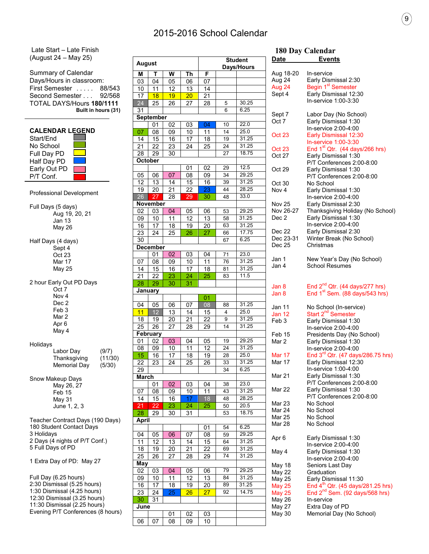### 2015-2016 School Calendar

Late Start – Late Finish (August 24 – May 25)

Summary of Calendar Days/Hours in classroom: First Semester . . . . . 88/543 Second Semester . . . 92/568 TOTAL DAYS/Hours **180/1111 Built in hours (31)**

| <b>CALENDAR LEGEND</b> |  |
|------------------------|--|
| Start/End              |  |
| No School              |  |
| Full Day PD            |  |
| Half Day PD            |  |
| Early Out PD           |  |
| P/T Conf.              |  |
|                        |  |

Professional Development

Full Days (5 days) Aug 19, 20, 21 Jan 13 May 26 Half Days (4 days) Sept 4 Oct 23 Mar 17 May 25 2 hour Early Out PD Days Oct 7 Nov 4 Dec<sub>2</sub> Feb 3 Mar 2 Apr 6 May 4 Holidays Labor Day (9/7)<br>Thanksgiving (11/30) Thanksgiving Memorial Day (5/30) Snow Makeup Days May 26, 27 Feb 15 May 31 June 1, 2, 3 Teacher Contract Days (190 Days) 180 Student Contact Days 3 Holidays 2 Days (4 nights of P/T Conf.) 5 Full Days of PD 1 Extra Day of PD: May 27 Full Day (6.25 hours)

2:30 Dismissal (5.25 hours) 1:30 Dismissal (4.25 hours) 12:30 Dismissal (3.25 hours) 11:30 Dismissal (2.25 hours) Evening P/T Conferences (8 hours)

| <b>August</b>   |                 |                 | <b>Student</b><br>Days/Hours |                 |                 |                |
|-----------------|-----------------|-----------------|------------------------------|-----------------|-----------------|----------------|
| M               | т               | W               | Th                           | F               |                 |                |
| 03              | 04              | 05              | 06                           | 07              |                 |                |
| 10              | 11              | 12              | $\overline{13}$              | 14              |                 |                |
| $\overline{17}$ | 18              | 19              | 20 <sub>2</sub>              | 21              |                 |                |
| 24              | 25              | 26              | 27                           | 28              | 5               | 30.25          |
| 31              |                 |                 |                              |                 | 6               | 6.25           |
|                 | September       |                 |                              |                 |                 |                |
|                 | 01              | 02              | 03                           | 04              | 10              | 22.0           |
| 07              | 08              | 09              | 10                           | 11              | 14              | 25.0           |
| 14              | 15              | 16              | 17                           | 18              | 19              | 31.25          |
| 21              | 22              | 23              | 24                           | 25              | 24              | 31.25          |
| 28              | 29              | 30              |                              |                 | 27              | 18.75          |
|                 | October         |                 |                              |                 |                 |                |
|                 |                 |                 | 01                           | 02              | $\overline{29}$ | 12.5           |
| 05              | 06              | 07              | 08                           | 09              | 34              | 29.25          |
| 12              | 13              | 14              | 15                           | 16              | 39              | 31.25          |
| 19              | 20              | 21              | 22                           | 23              | 44              | 28.25          |
| 26              | 27              | 28              | 29                           | 30              | 48              | 33.0           |
|                 | November        |                 |                              |                 |                 |                |
| 02              | 03              | 04              | 05                           | 06              | 53              | 29.25          |
| 09              | 10              | 11              | $\overline{12}$              | 13              | 58              | 31.25          |
| 16              | 17              | 18              | 19                           | 20              | 63              | 31.25          |
| 23              | 24              | 25              | 26                           | 27              | 66              | 17.75          |
| 30              |                 |                 |                              |                 | 67              | 6.25           |
|                 | <b>December</b> |                 |                              |                 |                 |                |
|                 | 01              | $\overline{02}$ | 03                           | 04              | 71              | 23.0           |
| 07              | 08              | 09              | 10                           | 11              | 76              | 31.25          |
| 14              | 15              | 16              | 17                           | 18              | 81              | 31.25          |
| 21              | 22              |                 |                              | 25              | 83              | 11.5           |
| 28              | 29              | 23<br>30        | 24<br>31                     |                 |                 |                |
|                 | January         |                 |                              |                 |                 |                |
|                 |                 |                 |                              | 01              |                 |                |
| 04              | 05              | 06              | 07                           | 08              | 88              | 31.25          |
| 11              | 12              | 13              | 14                           | 15              | 4               | 25.0           |
| 18              | 19              | 20              | 21                           | 22              | 9               | 31.25          |
| 25              | 26              | $\overline{27}$ | 28                           | 29              | 14              | 31.25          |
|                 | February        |                 |                              |                 |                 |                |
| 01              | 02              | 03              | 04                           | 05              | 19              | 29.25          |
| 08              | 09              | 10              | 11                           | 12              | 24              | 31.25          |
| 15              | 16              | 17              | 18                           | $\overline{19}$ | 28              | 25.0           |
| 22              | 23              | 24              | 25                           | 26              | 33              | 31.25          |
| 29              |                 |                 |                              |                 | 34              | 6.25           |
| <b>March</b>    |                 |                 |                              |                 |                 |                |
|                 |                 |                 |                              |                 |                 | 23.0           |
|                 | 01              | 02              | 03                           | 04              | 38              | 31.25          |
| 07              | 08              | 09              | 10                           | 11              | 43              | 28.25          |
| 14              | 15              | 16              | 17                           | 18              | 48              |                |
| 21              | 22<br>29        | 23              | 24                           | 25              | 50              | 20.5<br>18.75  |
| 28              |                 | 30              | 31                           |                 | 53              |                |
| April           |                 |                 |                              |                 |                 |                |
|                 |                 |                 |                              | 01              | 54              | 6.25           |
| 04              | 05              | 06              | 07                           | 08              | 59              | 29.25<br>31.25 |
| 11              | 12              | 13              | 14                           | 15              | 64              |                |
| 18              | 19              | $\overline{20}$ | 21                           | 22              | 69              | 31.25          |
| 25              | 26              | 27              | 28                           | 29              | 74              | 31.25          |
| May             |                 |                 |                              |                 |                 |                |
| 02              | 03              | 04              | 05                           | 06              | 79              | 29.25          |
| 09              | 10              | 11              | 12                           | 13              | 84              | 31.25          |
| 16              | 17              | 18              | 19                           | 20              | 89              | 31.25          |
| 23              | 24              | 25              | 26                           | 27              | 92              | 14.75          |
| 30              | 31              |                 |                              |                 |                 |                |
| June            |                 |                 |                              |                 |                 |                |
|                 |                 | 01              | 02                           | 03              |                 |                |
| 06              | 07              | 08              | 09                           | 10              |                 |                |
|                 |                 |                 |                              |                 |                 |                |

#### **180 Day Calendar Pate**

| <u>vale</u>   | <u>Events</u>                                            |
|---------------|----------------------------------------------------------|
|               |                                                          |
| Aug 18-20     | In-service                                               |
| Aug 24        |                                                          |
| Aug 24        | Early Dismissal 2:30<br>Begin 1 <sup>st</sup> Semester   |
| Sept 4        | Early Dismissal 12:30                                    |
|               | In-service 1:00-3:30                                     |
| Sept 7        | Labor Day (No School)                                    |
| Oct 7         | Early Dismissal 1:30                                     |
|               | In-service 2:00-4:00                                     |
| Oct 23        | Early Dismissal 12:30                                    |
|               | In-service 1:00-3:30                                     |
| Oct 23        | End 1 <sup>st</sup> Qtr. (44 days/266 hrs)               |
| Oct 27        | Early Dismissal 1:30                                     |
|               | P/T Conferences 2:00-8:00                                |
| Oct 29        | Early Dismissal 1:30                                     |
|               | P/T Conferences 2:00-8:00                                |
| Oct 30        | No School                                                |
|               |                                                          |
| Nov 4         | Early Dismissal 1:30                                     |
|               | In-service 2:00-4:00                                     |
| Nov 25        | Early Dismissal 2:30                                     |
| Nov 26-27     | Thanksgiving Holiday (No School)                         |
| Dec 2         | Early Dismissal 1:30                                     |
|               | In-service 2:00-4:00                                     |
| Dec 22        | Early Dismissal 2:30                                     |
| Dec 23-31     | Winter Break (No School)                                 |
| Dec 25        | Christmas                                                |
| Jan 1         | New Year's Day (No School)                               |
| Jan 4         | <b>School Resumes</b>                                    |
|               |                                                          |
|               |                                                          |
| Jan 8         | End $2^{nd}$ Qtr. (44 days/277 hrs)                      |
| Jan 8         | End 1 <sup>st</sup> Sem. (88 days/543 hrs)               |
|               |                                                          |
| Jan 11        | No School (In-service)<br>Start 2 <sup>nd</sup> Semester |
| Jan 12        |                                                          |
| Feb 3         | Early Dismissal 1:30                                     |
|               | In-service 2:00-4:00                                     |
| Feb 15        | Presidents Day (No School)                               |
| Mar 2         | Early Dismissal 1:30                                     |
|               | In-service 2:00-4:00                                     |
| Mar 17        | End $3^{rd}$ Qtr. (47 days/286.75 hrs)                   |
| Mar 17        | Early Dismissal 12:30                                    |
|               | In-service 1:00-4:00                                     |
| Mar 21        | Early Dismissal 1:30                                     |
|               | P/T Conferences 2:00-8:00                                |
| Mar 22        | Early Dismissal 1:30                                     |
|               | P/T Conferences 2:00-8:00                                |
| Mar 23        | No School                                                |
| Mar 24        | No School                                                |
| Mar 25        | No School                                                |
| Mar 28        | No School                                                |
|               |                                                          |
| Apr 6         | Early Dismissal 1:30                                     |
|               | In-service 2:00-4:00                                     |
| May 4         | Early Dismissal 1:30                                     |
|               | In-service 2:00-4:00                                     |
| May 18        | Seniors Last Day                                         |
| May 22        | Graduation                                               |
| May 25        | Early Dismissal 11:30                                    |
| <b>May 25</b> | End $4^{th}$ Qtr. (45 days/281.25 hrs)                   |
| May 25        | End $2^{nd}$ Sem. (92 days/568 hrs)                      |
| May 26        | In-service                                               |
| May 27        | Extra Day of PD                                          |
| May 30        | Memorial Day (No School)                                 |
|               |                                                          |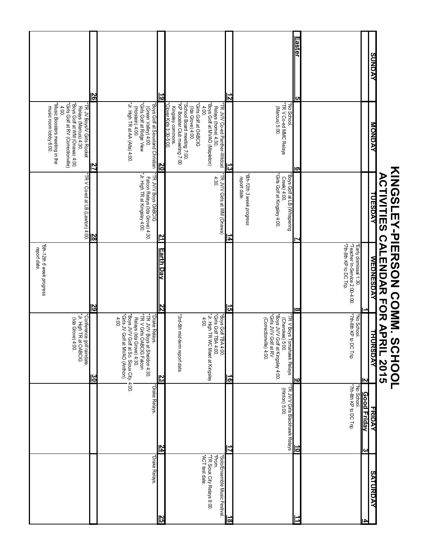#### **Easter 5** ≣aste **AVONDS SUNDAY 26 19** ট<br>ম music room lobby 6:00. \*Music Boosters meeting in the \*Girls Golf at RV (Correctionville) \*Boys Golf at WM (Onawa) 4:00. (Ida Grove) 4:00. Relays (Marcus) 4:30. \*TR JV Boys/V Girls Rocket \*Jr. High TR at AA (Alta) 4:00. (Holstein) 4:00. Relays (Ida Grove) 4:00. Relays (Ida Grove) 4:00. Relays (Ida Grove) 4:00. Relays (Ida Grove) \*Girls Golf at Ridge View (Green Valley) 4:00. Falcon Relays (Ida Grove) 4:30. \*Boys Golf at Siouxland Christian \*Clover Kids 3:30-5:00. Kingsley commons. \*KP Booster Club meeting 7:00 \*School Board meeting 7:00. (Ida Grove) 4:00. \*Girls Golf at OABCIG 4:00.<br>4:00. \*Boys Golf at MVAO (Mapleton) Relays (home) 4:30. 4:30. \*TR JV/V Co-ed Panther-Wildcat (Marcus) 5:00. \*TR V Co-ed MMC Relays Creek) 4:00. (Cherokee) 5:00. (Hinton) 5:00. \*No School. Susic Boosters meeting in the 'Girls Golf at RV (Correctionville) Relays (Marcus) 4:30.<br>\*Boys Golf at WM (Onawa) 4:00. "Jr. High TR at AA (Alta) 4:00 "Girls Golf at Ridge View "KP Booster Club meeting 7:00 \*School Board meeting 7:00.<br>\*School Board meeting "Girls Golf at OABCIG 'Boys Golf at MVAO (Mapleton) \*TR V Co-ed MMC Relays<br>(Marcus) 5:00. 'No School. Boys Golf at Siouxland Christian music room lobby 6:00. 4:00.  $(Holstein)$  4:00  $4:00$ Relays (home) 4:30. FRJV/VCo-ed Panther-Wildcat id JV Boys/V Girls Rocket (Green Valley) 4:00. **Kingsley commons.** (Ida Grove) 4:00. lover Kids 3:30-5:00 **NAGNOM MONDAY 27 20** نج<br>د **6** \*TR V Co-ed at LB (Lawton) 4:00 LR JV/V Boys OABCIG **ACTIVITIES CALENAR FOR APRIL 2015 ACTIVITIES CALENDAR FOR APRIL 2015** $*$ TR V Co-ed at LB (Lawton) 4:00. Falcon Relays (Ida Grove) 4:30.<br>\*Jr. High TR at Kingsley 4:00. \*Jr. High TR at Kingsley 4:00. \*TR JV/V Boys OABCIG \*TR JV/V Girls at WM (Onawa)  *report date.* \*6th-12th 3 week progress *\*6th-12th 3 week progress* "Girls Golf at Kingsley 4:00. \*Girls Golf at Kingsley 4:00. \*Boys Golf at LB (Whispering \*Boys Golf at LB (Whispering \*TR V Boys Tomahawk Relays 4:30 FR JV/V Girls at WM (Onawa) report date. Creek) 4:00. **TUESDAY** TUESDAY **28 21 14 7**  *report date.* \*6th-12th 6 week progress \*7th-8th KP to DC Trip. \*Teacher In-Service 2:00-4:00.<br>\*Teacher In-Service 2:00-4:00. *\*6th-12th 6 week progress* \*7th-8th KP to DC Trip. \*Teacher In-Service 2:00-4:00. \*Early dismissal 1:30. Early dismissal 1:30 report date. **Earth Day 22** Earth Day **WEDNESDAY WEDNESDAY 29 15 8 1** \*Boys JV/V Golf at So. Sioux City, 4:00.<br>\*Girls JV Golf at MVAO (Anthon)<br>4:00. \*7th-8th KP to DC Trip. \* Conference golf raindate<br>\* Jr. High TR at OABCIG \*Jr. High TR at OABCIG \*Conference golf raindate. \*Girls JV Golf at MVAO (Anthon) \*Boys JV/V Golf at So. Sioux City. 4:00. \*TR V Girls OABCIG Falcon \*TR JV/V Boys at Sheldon 4:30. \*Drake Relays. \*3rd-5th mid-term report date. \*Jr. High TR WC Meet at Kingsley \*Jr. High TR WC Meet at Kingsley \*Boys Golf TBA 4:00.<br>\*Girls Golf TBA 4:00. \*Girls Golf TBA 4:00. \*Boys Golf TBA 4:00. (Correctionville) 4:00. \*Boys JV/V Golf at Kingsley 4:00.<br>\*Girls JV/V Golf at RV \*Girls JV/V Golf at RV \*Boys JV/V Golf at Kingsley 4:00. \*7th-8th KP to DC Trip. \*No School. *\*3rd-5th mid-term report date.* TR JV/V Boys at Sheldon 4:30.<br>TR V Girls OABCIG Falcon  $4:00.$ No School (Ida Grove) 4:00. Relays (Ida Grove) 4:30. Drake Relays. (Correctionville) 4:00. (Cherokee) 5:00. **FR V Boys Tomahawk Relays** THURSDAY **THURSDAY 30 23 16 9 يہ** \*Drake Relays. \*Drake Relays. \*TR JV/V Girls Blackhawk Relays 7th-8th KP to DC Trip. \*7th-8th KP to DC Trip. \*No School. **TR JV/V Girls Blackhawk Relays** No School. (Hinton) 5:00. **Good Friday 3** 3ood Friday FRIDAY **FRIDAY 24 17 10** \*Drake Relays. \*ACT test date. \*TR Sioux City Relays 9:00. \*Prom. \*Solo/Ensemble Music Festival. "Drake Relays. ACT test date. TR Sioux City Relays 9:00. Solo/Ensemble Music Festival. **SATURDAY SATURDAY 25 11 18 4**

**KINGSLEY-PIERSON COMM. SCHOOL**

**KINGSLEY-PIERSON COMM. SCHOOL**